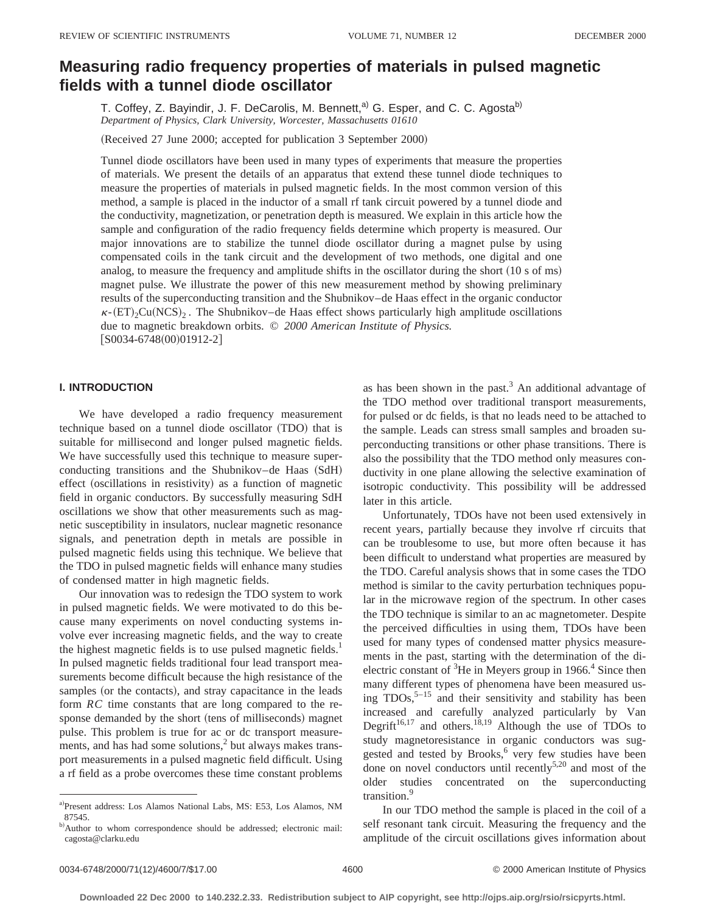# **Measuring radio frequency properties of materials in pulsed magnetic fields with a tunnel diode oscillator**

T. Coffey, Z. Bayindir, J. F. DeCarolis, M. Bennett,<sup>a)</sup> G. Esper, and C. C. Agosta<sup>b)</sup> *Department of Physics, Clark University, Worcester, Massachusetts 01610*

(Received 27 June 2000; accepted for publication 3 September 2000)

Tunnel diode oscillators have been used in many types of experiments that measure the properties of materials. We present the details of an apparatus that extend these tunnel diode techniques to measure the properties of materials in pulsed magnetic fields. In the most common version of this method, a sample is placed in the inductor of a small rf tank circuit powered by a tunnel diode and the conductivity, magnetization, or penetration depth is measured. We explain in this article how the sample and configuration of the radio frequency fields determine which property is measured. Our major innovations are to stabilize the tunnel diode oscillator during a magnet pulse by using compensated coils in the tank circuit and the development of two methods, one digital and one analog, to measure the frequency and amplitude shifts in the oscillator during the short  $(10 \text{ s of ms})$ magnet pulse. We illustrate the power of this new measurement method by showing preliminary results of the superconducting transition and the Shubnikov–de Haas effect in the organic conductor  $\kappa$ -(ET)<sub>2</sub>Cu(NCS)<sub>2</sub>. The Shubnikov–de Haas effect shows particularly high amplitude oscillations due to magnetic breakdown orbits. © *2000 American Institute of Physics.*  $[$ S0034-6748 $(00)$ 01912-2 $]$ 

# **I. INTRODUCTION**

We have developed a radio frequency measurement technique based on a tunnel diode oscillator (TDO) that is suitable for millisecond and longer pulsed magnetic fields. We have successfully used this technique to measure superconducting transitions and the Shubnikov–de Haas (SdH) effect (oscillations in resistivity) as a function of magnetic field in organic conductors. By successfully measuring SdH oscillations we show that other measurements such as magnetic susceptibility in insulators, nuclear magnetic resonance signals, and penetration depth in metals are possible in pulsed magnetic fields using this technique. We believe that the TDO in pulsed magnetic fields will enhance many studies of condensed matter in high magnetic fields.

Our innovation was to redesign the TDO system to work in pulsed magnetic fields. We were motivated to do this because many experiments on novel conducting systems involve ever increasing magnetic fields, and the way to create the highest magnetic fields is to use pulsed magnetic fields.<sup>1</sup> In pulsed magnetic fields traditional four lead transport measurements become difficult because the high resistance of the samples (or the contacts), and stray capacitance in the leads form *RC* time constants that are long compared to the response demanded by the short (tens of milliseconds) magnet pulse. This problem is true for ac or dc transport measurements, and has had some solutions, $<sup>2</sup>$  but always makes trans-</sup> port measurements in a pulsed magnetic field difficult. Using a rf field as a probe overcomes these time constant problems as has been shown in the past. $3$  An additional advantage of the TDO method over traditional transport measurements, for pulsed or dc fields, is that no leads need to be attached to the sample. Leads can stress small samples and broaden superconducting transitions or other phase transitions. There is also the possibility that the TDO method only measures conductivity in one plane allowing the selective examination of isotropic conductivity. This possibility will be addressed later in this article.

Unfortunately, TDOs have not been used extensively in recent years, partially because they involve rf circuits that can be troublesome to use, but more often because it has been difficult to understand what properties are measured by the TDO. Careful analysis shows that in some cases the TDO method is similar to the cavity perturbation techniques popular in the microwave region of the spectrum. In other cases the TDO technique is similar to an ac magnetometer. Despite the perceived difficulties in using them, TDOs have been used for many types of condensed matter physics measurements in the past, starting with the determination of the dielectric constant of <sup>3</sup>He in Meyers group in 1966.<sup>4</sup> Since then many different types of phenomena have been measured using  $TDOs$ ,<sup>5–15</sup> and their sensitivity and stability has been increased and carefully analyzed particularly by Van Degrift<sup>16,17</sup> and others.<sup>18,19</sup> Although the use of TDOs to study magnetoresistance in organic conductors was suggested and tested by Brooks,<sup>6</sup> very few studies have been done on novel conductors until recently $5,20$  and most of the older studies concentrated on the superconducting transition.<sup>9</sup>

In our TDO method the sample is placed in the coil of a self resonant tank circuit. Measuring the frequency and the amplitude of the circuit oscillations gives information about

a)Present address: Los Alamos National Labs, MS: E53, Los Alamos, NM 87545.

b)Author to whom correspondence should be addressed; electronic mail: cagosta@clarku.edu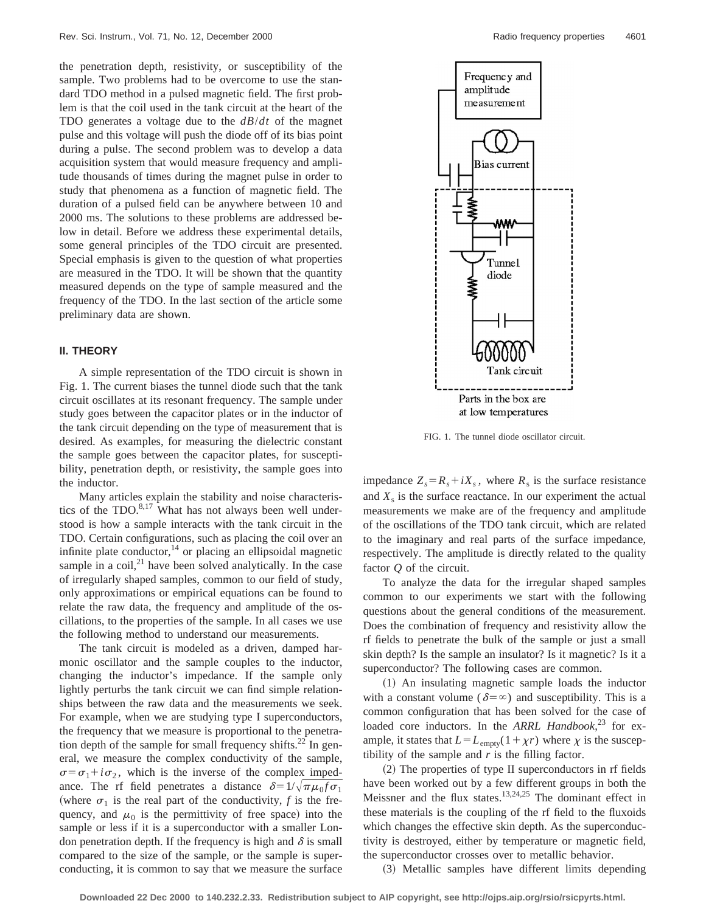the penetration depth, resistivity, or susceptibility of the sample. Two problems had to be overcome to use the standard TDO method in a pulsed magnetic field. The first problem is that the coil used in the tank circuit at the heart of the TDO generates a voltage due to the *dB*/*dt* of the magnet pulse and this voltage will push the diode off of its bias point during a pulse. The second problem was to develop a data acquisition system that would measure frequency and amplitude thousands of times during the magnet pulse in order to study that phenomena as a function of magnetic field. The duration of a pulsed field can be anywhere between 10 and 2000 ms. The solutions to these problems are addressed below in detail. Before we address these experimental details, some general principles of the TDO circuit are presented. Special emphasis is given to the question of what properties are measured in the TDO. It will be shown that the quantity measured depends on the type of sample measured and the frequency of the TDO. In the last section of the article some preliminary data are shown.

### **II. THEORY**

A simple representation of the TDO circuit is shown in Fig. 1. The current biases the tunnel diode such that the tank circuit oscillates at its resonant frequency. The sample under study goes between the capacitor plates or in the inductor of the tank circuit depending on the type of measurement that is desired. As examples, for measuring the dielectric constant the sample goes between the capacitor plates, for susceptibility, penetration depth, or resistivity, the sample goes into the inductor.

Many articles explain the stability and noise characteristics of the TDO. $8,17$  What has not always been well understood is how a sample interacts with the tank circuit in the TDO. Certain configurations, such as placing the coil over an infinite plate conductor, $^{14}$  or placing an ellipsoidal magnetic sample in a coil, $^{21}$  have been solved analytically. In the case of irregularly shaped samples, common to our field of study, only approximations or empirical equations can be found to relate the raw data, the frequency and amplitude of the oscillations, to the properties of the sample. In all cases we use the following method to understand our measurements.

The tank circuit is modeled as a driven, damped harmonic oscillator and the sample couples to the inductor, changing the inductor's impedance. If the sample only lightly perturbs the tank circuit we can find simple relationships between the raw data and the measurements we seek. For example, when we are studying type I superconductors, the frequency that we measure is proportional to the penetration depth of the sample for small frequency shifts.<sup>22</sup> In general, we measure the complex conductivity of the sample,  $\sigma = \sigma_1 + i \sigma_2$ , which is the inverse of the complex impedance. The rf field penetrates a distance  $\delta = 1/\sqrt{\pi \mu_0 f \sigma_1}$ (where  $\sigma_1$  is the real part of the conductivity, *f* is the frequency, and  $\mu_0$  is the permittivity of free space) into the sample or less if it is a superconductor with a smaller London penetration depth. If the frequency is high and  $\delta$  is small compared to the size of the sample, or the sample is superconducting, it is common to say that we measure the surface



FIG. 1. The tunnel diode oscillator circuit.

impedance  $Z_s = R_s + iX_s$ , where  $R_s$  is the surface resistance and  $X<sub>s</sub>$  is the surface reactance. In our experiment the actual measurements we make are of the frequency and amplitude of the oscillations of the TDO tank circuit, which are related to the imaginary and real parts of the surface impedance, respectively. The amplitude is directly related to the quality factor *Q* of the circuit.

To analyze the data for the irregular shaped samples common to our experiments we start with the following questions about the general conditions of the measurement. Does the combination of frequency and resistivity allow the rf fields to penetrate the bulk of the sample or just a small skin depth? Is the sample an insulator? Is it magnetic? Is it a superconductor? The following cases are common.

 $(1)$  An insulating magnetic sample loads the inductor with a constant volume ( $\delta = \infty$ ) and susceptibility. This is a common configuration that has been solved for the case of loaded core inductors. In the *ARRL Handbook*, <sup>23</sup> for example, it states that  $L = L_{\text{empty}}(1 + \chi r)$  where  $\chi$  is the susceptibility of the sample and  $r$  is the filling factor.

 $(2)$  The properties of type II superconductors in rf fields have been worked out by a few different groups in both the Meissner and the flux states.<sup>13,24,25</sup> The dominant effect in these materials is the coupling of the rf field to the fluxoids which changes the effective skin depth. As the superconductivity is destroyed, either by temperature or magnetic field, the superconductor crosses over to metallic behavior.

~3! Metallic samples have different limits depending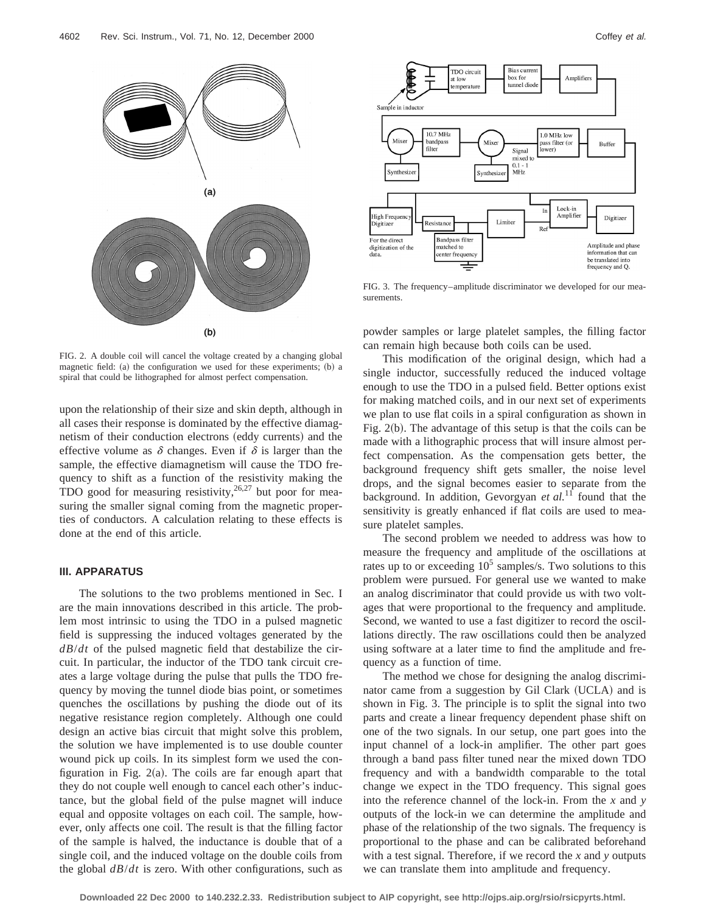

FIG. 2. A double coil will cancel the voltage created by a changing global magnetic field: (a) the configuration we used for these experiments; (b) a spiral that could be lithographed for almost perfect compensation.

upon the relationship of their size and skin depth, although in all cases their response is dominated by the effective diamagnetism of their conduction electrons (eddy currents) and the effective volume as  $\delta$  changes. Even if  $\delta$  is larger than the sample, the effective diamagnetism will cause the TDO frequency to shift as a function of the resistivity making the TDO good for measuring resistivity,  $26,27$  but poor for measuring the smaller signal coming from the magnetic properties of conductors. A calculation relating to these effects is done at the end of this article.

# **III. APPARATUS**

The solutions to the two problems mentioned in Sec. I are the main innovations described in this article. The problem most intrinsic to using the TDO in a pulsed magnetic field is suppressing the induced voltages generated by the *dB*/*dt* of the pulsed magnetic field that destabilize the circuit. In particular, the inductor of the TDO tank circuit creates a large voltage during the pulse that pulls the TDO frequency by moving the tunnel diode bias point, or sometimes quenches the oscillations by pushing the diode out of its negative resistance region completely. Although one could design an active bias circuit that might solve this problem, the solution we have implemented is to use double counter wound pick up coils. In its simplest form we used the configuration in Fig.  $2(a)$ . The coils are far enough apart that they do not couple well enough to cancel each other's inductance, but the global field of the pulse magnet will induce equal and opposite voltages on each coil. The sample, however, only affects one coil. The result is that the filling factor of the sample is halved, the inductance is double that of a single coil, and the induced voltage on the double coils from the global  $dB/dt$  is zero. With other configurations, such as





FIG. 3. The frequency–amplitude discriminator we developed for our measurements.

powder samples or large platelet samples, the filling factor can remain high because both coils can be used.

This modification of the original design, which had a single inductor, successfully reduced the induced voltage enough to use the TDO in a pulsed field. Better options exist for making matched coils, and in our next set of experiments we plan to use flat coils in a spiral configuration as shown in Fig.  $2(b)$ . The advantage of this setup is that the coils can be made with a lithographic process that will insure almost perfect compensation. As the compensation gets better, the background frequency shift gets smaller, the noise level drops, and the signal becomes easier to separate from the background. In addition, Gevorgyan *et al.*<sup>11</sup> found that the sensitivity is greatly enhanced if flat coils are used to measure platelet samples.

The second problem we needed to address was how to measure the frequency and amplitude of the oscillations at rates up to or exceeding  $10<sup>5</sup>$  samples/s. Two solutions to this problem were pursued. For general use we wanted to make an analog discriminator that could provide us with two voltages that were proportional to the frequency and amplitude. Second, we wanted to use a fast digitizer to record the oscillations directly. The raw oscillations could then be analyzed using software at a later time to find the amplitude and frequency as a function of time.

The method we chose for designing the analog discriminator came from a suggestion by Gil Clark (UCLA) and is shown in Fig. 3. The principle is to split the signal into two parts and create a linear frequency dependent phase shift on one of the two signals. In our setup, one part goes into the input channel of a lock-in amplifier. The other part goes through a band pass filter tuned near the mixed down TDO frequency and with a bandwidth comparable to the total change we expect in the TDO frequency. This signal goes into the reference channel of the lock-in. From the *x* and *y* outputs of the lock-in we can determine the amplitude and phase of the relationship of the two signals. The frequency is proportional to the phase and can be calibrated beforehand with a test signal. Therefore, if we record the *x* and *y* outputs we can translate them into amplitude and frequency.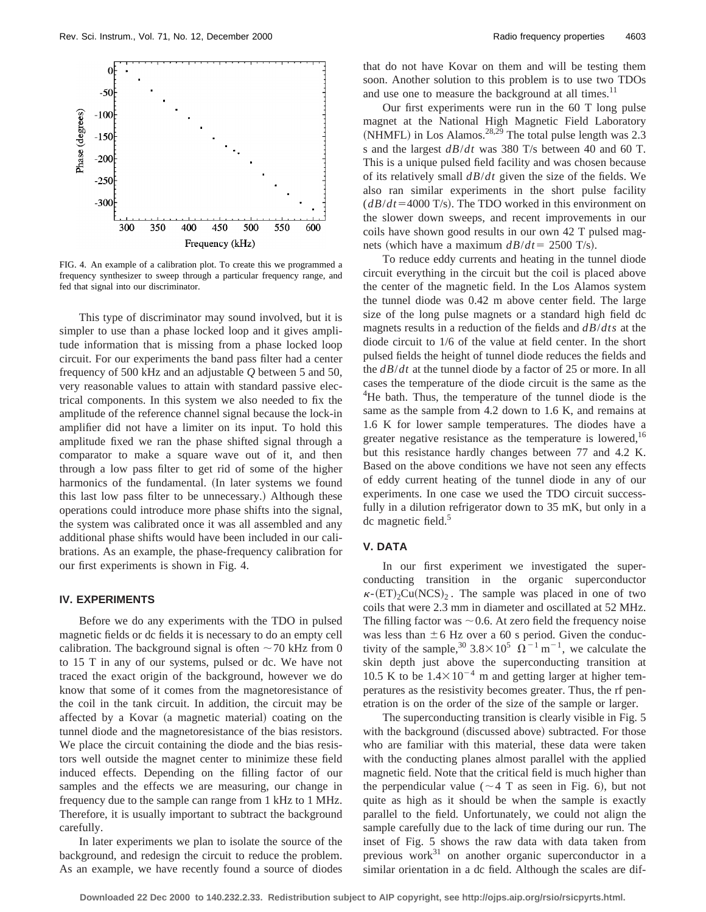

FIG. 4. An example of a calibration plot. To create this we programmed a frequency synthesizer to sweep through a particular frequency range, and fed that signal into our discriminator.

This type of discriminator may sound involved, but it is simpler to use than a phase locked loop and it gives amplitude information that is missing from a phase locked loop circuit. For our experiments the band pass filter had a center frequency of 500 kHz and an adjustable *Q* between 5 and 50, very reasonable values to attain with standard passive electrical components. In this system we also needed to fix the amplitude of the reference channel signal because the lock-in amplifier did not have a limiter on its input. To hold this amplitude fixed we ran the phase shifted signal through a comparator to make a square wave out of it, and then through a low pass filter to get rid of some of the higher harmonics of the fundamental. (In later systems we found this last low pass filter to be unnecessary.) Although these operations could introduce more phase shifts into the signal, the system was calibrated once it was all assembled and any additional phase shifts would have been included in our calibrations. As an example, the phase-frequency calibration for our first experiments is shown in Fig. 4.

# **IV. EXPERIMENTS**

Before we do any experiments with the TDO in pulsed magnetic fields or dc fields it is necessary to do an empty cell calibration. The background signal is often  $\sim$  70 kHz from 0 to 15 T in any of our systems, pulsed or dc. We have not traced the exact origin of the background, however we do know that some of it comes from the magnetoresistance of the coil in the tank circuit. In addition, the circuit may be affected by a Kovar (a magnetic material) coating on the tunnel diode and the magnetoresistance of the bias resistors. We place the circuit containing the diode and the bias resistors well outside the magnet center to minimize these field induced effects. Depending on the filling factor of our samples and the effects we are measuring, our change in frequency due to the sample can range from 1 kHz to 1 MHz. Therefore, it is usually important to subtract the background carefully.

In later experiments we plan to isolate the source of the background, and redesign the circuit to reduce the problem. As an example, we have recently found a source of diodes that do not have Kovar on them and will be testing them soon. Another solution to this problem is to use two TDOs and use one to measure the background at all times. $^{11}$ 

Our first experiments were run in the 60 T long pulse magnet at the National High Magnetic Field Laboratory (NHMFL) in Los Alamos.<sup>28,29</sup> The total pulse length was 2.3 s and the largest *dB*/*dt* was 380 T/s between 40 and 60 T. This is a unique pulsed field facility and was chosen because of its relatively small *dB*/*dt* given the size of the fields. We also ran similar experiments in the short pulse facility  $(dB/dt=4000 \text{ T/s})$ . The TDO worked in this environment on the slower down sweeps, and recent improvements in our coils have shown good results in our own 42 T pulsed magnets (which have a maximum  $dB/dt = 2500$  T/s).

To reduce eddy currents and heating in the tunnel diode circuit everything in the circuit but the coil is placed above the center of the magnetic field. In the Los Alamos system the tunnel diode was 0.42 m above center field. The large size of the long pulse magnets or a standard high field dc magnets results in a reduction of the fields and *dB*/*dts* at the diode circuit to 1/6 of the value at field center. In the short pulsed fields the height of tunnel diode reduces the fields and the *dB*/*dt* at the tunnel diode by a factor of 25 or more. In all cases the temperature of the diode circuit is the same as the <sup>4</sup>He bath. Thus, the temperature of the tunnel diode is the same as the sample from 4.2 down to 1.6 K, and remains at 1.6 K for lower sample temperatures. The diodes have a greater negative resistance as the temperature is lowered,  $16$ but this resistance hardly changes between 77 and 4.2 K. Based on the above conditions we have not seen any effects of eddy current heating of the tunnel diode in any of our experiments. In one case we used the TDO circuit successfully in a dilution refrigerator down to 35 mK, but only in a dc magnetic field.<sup>5</sup>

# **V. DATA**

In our first experiment we investigated the superconducting transition in the organic superconductor  $\kappa$ - $(ET)$ <sub>2</sub>Cu(NCS)<sub>2</sub>. The sample was placed in one of two coils that were 2.3 mm in diameter and oscillated at 52 MHz. The filling factor was  $\sim$  0.6. At zero field the frequency noise was less than  $\pm 6$  Hz over a 60 s period. Given the conductivity of the sample,<sup>30</sup>  $3.8 \times 10^5$   $\Omega^{-1}$  m<sup>-1</sup>, we calculate the skin depth just above the superconducting transition at 10.5 K to be  $1.4 \times 10^{-4}$  m and getting larger at higher temperatures as the resistivity becomes greater. Thus, the rf penetration is on the order of the size of the sample or larger.

The superconducting transition is clearly visible in Fig. 5 with the background (discussed above) subtracted. For those who are familiar with this material, these data were taken with the conducting planes almost parallel with the applied magnetic field. Note that the critical field is much higher than the perpendicular value ( $\sim$  4 T as seen in Fig. 6), but not quite as high as it should be when the sample is exactly parallel to the field. Unfortunately, we could not align the sample carefully due to the lack of time during our run. The inset of Fig. 5 shows the raw data with data taken from previous work $31$  on another organic superconductor in a similar orientation in a dc field. Although the scales are dif-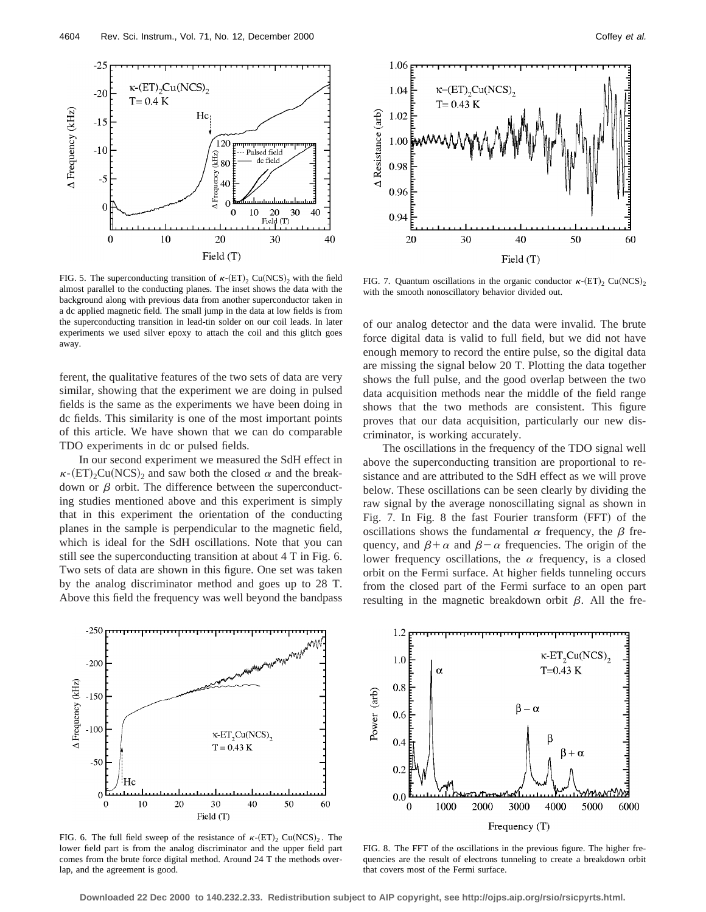

FIG. 5. The superconducting transition of  $\kappa$ -(ET)<sub>2</sub> Cu(NCS)<sub>2</sub> with the field almost parallel to the conducting planes. The inset shows the data with the background along with previous data from another superconductor taken in a dc applied magnetic field. The small jump in the data at low fields is from the superconducting transition in lead-tin solder on our coil leads. In later experiments we used silver epoxy to attach the coil and this glitch goes away.

ferent, the qualitative features of the two sets of data are very similar, showing that the experiment we are doing in pulsed fields is the same as the experiments we have been doing in dc fields. This similarity is one of the most important points of this article. We have shown that we can do comparable TDO experiments in dc or pulsed fields.

In our second experiment we measured the SdH effect in  $\kappa$ -(ET)<sub>2</sub>Cu(NCS)<sub>2</sub> and saw both the closed  $\alpha$  and the breakdown or  $\beta$  orbit. The difference between the superconducting studies mentioned above and this experiment is simply that in this experiment the orientation of the conducting planes in the sample is perpendicular to the magnetic field, which is ideal for the SdH oscillations. Note that you can still see the superconducting transition at about 4 T in Fig. 6. Two sets of data are shown in this figure. One set was taken by the analog discriminator method and goes up to 28 T. Above this field the frequency was well beyond the bandpass



FIG. 7. Quantum oscillations in the organic conductor  $\kappa$ -(ET)<sub>2</sub> Cu(NCS)<sub>2</sub> with the smooth nonoscillatory behavior divided out.

of our analog detector and the data were invalid. The brute force digital data is valid to full field, but we did not have enough memory to record the entire pulse, so the digital data are missing the signal below 20 T. Plotting the data together shows the full pulse, and the good overlap between the two data acquisition methods near the middle of the field range shows that the two methods are consistent. This figure proves that our data acquisition, particularly our new discriminator, is working accurately.

The oscillations in the frequency of the TDO signal well above the superconducting transition are proportional to resistance and are attributed to the SdH effect as we will prove below. These oscillations can be seen clearly by dividing the raw signal by the average nonoscillating signal as shown in Fig. 7. In Fig. 8 the fast Fourier transform  $(FFT)$  of the oscillations shows the fundamental  $\alpha$  frequency, the  $\beta$  frequency, and  $\beta + \alpha$  and  $\beta - \alpha$  frequencies. The origin of the lower frequency oscillations, the  $\alpha$  frequency, is a closed orbit on the Fermi surface. At higher fields tunneling occurs from the closed part of the Fermi surface to an open part resulting in the magnetic breakdown orbit  $\beta$ . All the fre-



FIG. 6. The full field sweep of the resistance of  $\kappa$ -(ET)<sub>2</sub> Cu(NCS)<sub>2</sub>. The lower field part is from the analog discriminator and the upper field part comes from the brute force digital method. Around 24 T the methods overlap, and the agreement is good.



FIG. 8. The FFT of the oscillations in the previous figure. The higher frequencies are the result of electrons tunneling to create a breakdown orbit that covers most of the Fermi surface.

**Downloaded 22 Dec 2000 to 140.232.2.33. Redistribution subject to AIP copyright, see http://ojps.aip.org/rsio/rsicpyrts.html.**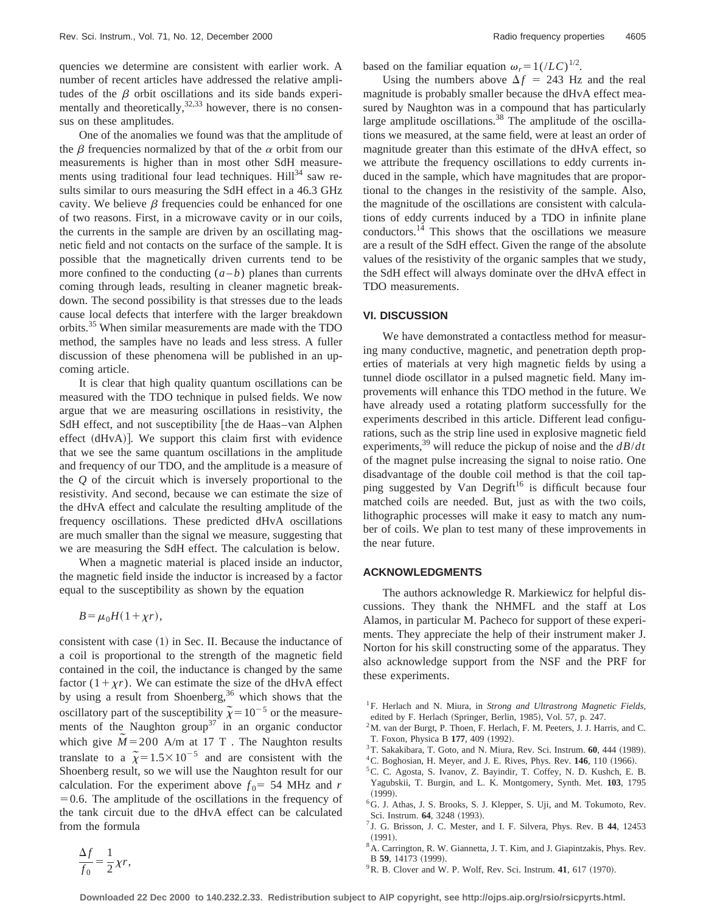quencies we determine are consistent with earlier work. A number of recent articles have addressed the relative amplitudes of the  $\beta$  orbit oscillations and its side bands experimentally and theoretically,  $32,33$  however, there is no consensus on these amplitudes.

One of the anomalies we found was that the amplitude of the  $\beta$  frequencies normalized by that of the  $\alpha$  orbit from our measurements is higher than in most other SdH measurements using traditional four lead techniques.  $Hill<sup>34</sup>$  saw results similar to ours measuring the SdH effect in a 46.3 GHz cavity. We believe  $\beta$  frequencies could be enhanced for one of two reasons. First, in a microwave cavity or in our coils, the currents in the sample are driven by an oscillating magnetic field and not contacts on the surface of the sample. It is possible that the magnetically driven currents tend to be more confined to the conducting  $(a - b)$  planes than currents coming through leads, resulting in cleaner magnetic breakdown. The second possibility is that stresses due to the leads cause local defects that interfere with the larger breakdown orbits.35 When similar measurements are made with the TDO method, the samples have no leads and less stress. A fuller discussion of these phenomena will be published in an upcoming article.

It is clear that high quality quantum oscillations can be measured with the TDO technique in pulsed fields. We now argue that we are measuring oscillations in resistivity, the SdH effect, and not susceptibility [the de Haas–van Alphen effect  $(dHvA)$ ]. We support this claim first with evidence that we see the same quantum oscillations in the amplitude and frequency of our TDO, and the amplitude is a measure of the *Q* of the circuit which is inversely proportional to the resistivity. And second, because we can estimate the size of the dHvA effect and calculate the resulting amplitude of the frequency oscillations. These predicted dHvA oscillations are much smaller than the signal we measure, suggesting that we are measuring the SdH effect. The calculation is below.

When a magnetic material is placed inside an inductor, the magnetic field inside the inductor is increased by a factor equal to the susceptibility as shown by the equation

 $B = \mu_0 H(1 + \chi r),$ 

consistent with case  $(1)$  in Sec. II. Because the inductance of a coil is proportional to the strength of the magnetic field contained in the coil, the inductance is changed by the same factor  $(1 + \chi r)$ . We can estimate the size of the dHvA effect by using a result from Shoenberg,<sup>36</sup> which shows that the oscillatory part of the susceptibility  $\tilde{\chi} = 10^{-5}$  or the measurements of the Naughton group<sup>37</sup> in an organic conductor which give  $\tilde{M} = 200$  A/m at 17 T. The Naughton results translate to a  $\tilde{\chi}$ =1.5×10<sup>-5</sup> and are consistent with the Shoenberg result, so we will use the Naughton result for our calculation. For the experiment above  $f_0 = 54$  MHz and *r*  $=0.6$ . The amplitude of the oscillations in the frequency of the tank circuit due to the dHvA effect can be calculated from the formula

based on the familiar equation  $\omega_r = 1/(LC)^{1/2}$ .

Using the numbers above  $\Delta f = 243$  Hz and the real magnitude is probably smaller because the dHvA effect measured by Naughton was in a compound that has particularly large amplitude oscillations.<sup>38</sup> The amplitude of the oscillations we measured, at the same field, were at least an order of magnitude greater than this estimate of the dHvA effect, so we attribute the frequency oscillations to eddy currents induced in the sample, which have magnitudes that are proportional to the changes in the resistivity of the sample. Also, the magnitude of the oscillations are consistent with calculations of eddy currents induced by a TDO in infinite plane conductors.14 This shows that the oscillations we measure are a result of the SdH effect. Given the range of the absolute values of the resistivity of the organic samples that we study, the SdH effect will always dominate over the dHvA effect in TDO measurements.

#### **VI. DISCUSSION**

We have demonstrated a contactless method for measuring many conductive, magnetic, and penetration depth properties of materials at very high magnetic fields by using a tunnel diode oscillator in a pulsed magnetic field. Many improvements will enhance this TDO method in the future. We have already used a rotating platform successfully for the experiments described in this article. Different lead configurations, such as the strip line used in explosive magnetic field experiments,39 will reduce the pickup of noise and the *dB*/*dt* of the magnet pulse increasing the signal to noise ratio. One disadvantage of the double coil method is that the coil tapping suggested by Van Degrift<sup>16</sup> is difficult because four matched coils are needed. But, just as with the two coils, lithographic processes will make it easy to match any number of coils. We plan to test many of these improvements in the near future.

### **ACKNOWLEDGMENTS**

The authors acknowledge R. Markiewicz for helpful discussions. They thank the NHMFL and the staff at Los Alamos, in particular M. Pacheco for support of these experiments. They appreciate the help of their instrument maker J. Norton for his skill constructing some of the apparatus. They also acknowledge support from the NSF and the PRF for these experiments.

 ${}^{4}$ C. Boghosian, H. Meyer, and J. E. Rives, Phys. Rev.  $146$ ,  $110$  (1966).

 $^{9}$  R. B. Clover and W. P. Wolf, Rev. Sci. Instrum. 41, 617 (1970).

$$
\frac{\Delta f}{f_0} = \frac{1}{2} \chi r,
$$

<sup>1</sup>F. Herlach and N. Miura, in *Strong and Ultrastrong Magnetic Fields*, edited by F. Herlach (Springer, Berlin, 1985), Vol. 57, p. 247.

<sup>2</sup>M. van der Burgt, P. Thoen, F. Herlach, F. M. Peeters, J. J. Harris, and C. T. Foxon, Physica B 177, 409 (1992).

<sup>&</sup>lt;sup>3</sup>T. Sakakibara, T. Goto, and N. Miura, Rev. Sci. Instrum. 60, 444 (1989).

<sup>5</sup>C. C. Agosta, S. Ivanov, Z. Bayindir, T. Coffey, N. D. Kushch, E. B. Yagubskii, T. Burgin, and L. K. Montgomery, Synth. Met. **103**, 1795  $(1999)$ .

<sup>6</sup>G. J. Athas, J. S. Brooks, S. J. Klepper, S. Uji, and M. Tokumoto, Rev. Sci. Instrum. **64**, 3248 (1993).

<sup>7</sup> J. G. Brisson, J. C. Mester, and I. F. Silvera, Phys. Rev. B **44**, 12453  $(1991).$ 

<sup>8</sup>A. Carrington, R. W. Giannetta, J. T. Kim, and J. Giapintzakis, Phys. Rev. B 59, 14173 (1999).